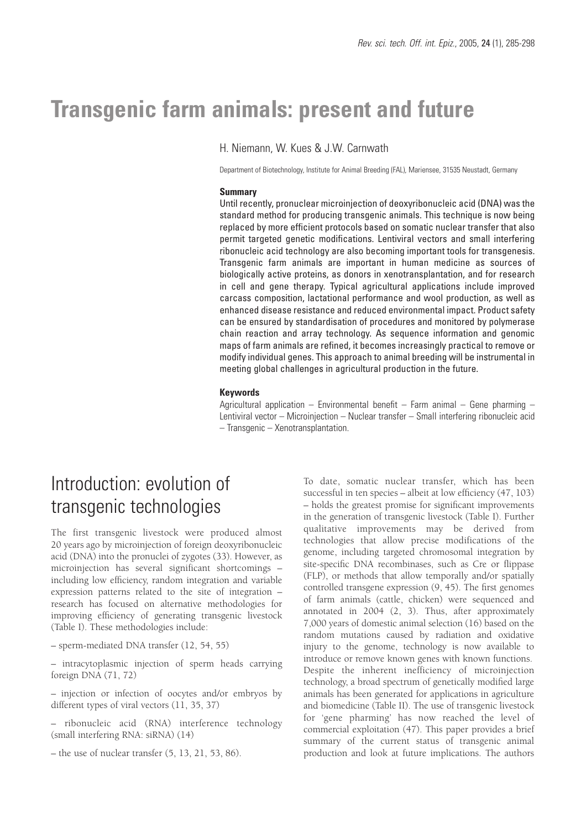# **Transgenic farm animals: present and future**

H. Niemann, W. Kues & J.W. Carnwath

Department of Biotechnology, Institute for Animal Breeding (FAL), Mariensee, 31535 Neustadt, Germany

### **Summary**

Until recently, pronuclear microinjection of deoxyribonucleic acid (DNA) was the standard method for producing transgenic animals. This technique is now being replaced by more efficient protocols based on somatic nuclear transfer that also permit targeted genetic modifications. Lentiviral vectors and small interfering ribonucleic acid technology are also becoming important tools for transgenesis. Transgenic farm animals are important in human medicine as sources of biologically active proteins, as donors in xenotransplantation, and for research in cell and gene therapy. Typical agricultural applications include improved carcass composition, lactational performance and wool production, as well as enhanced disease resistance and reduced environmental impact. Product safety can be ensured by standardisation of procedures and monitored by polymerase chain reaction and array technology. As sequence information and genomic maps of farm animals are refined, it becomes increasingly practical to remove or modify individual genes. This approach to animal breeding will be instrumental in meeting global challenges in agricultural production in the future.

#### **Keywords**

Agricultural application – Environmental benefit – Farm animal – Gene pharming – Lentiviral vector – Microinjection – Nuclear transfer – Small interfering ribonucleic acid – Transgenic – Xenotransplantation.

# Introduction: evolution of transgenic technologies

The first transgenic livestock were produced almost 20 years ago by microinjection of foreign deoxyribonucleic acid (DNA) into the pronuclei of zygotes (33). However, as microinjection has several significant shortcomings – including low efficiency, random integration and variable expression patterns related to the site of integration – research has focused on alternative methodologies for improving efficiency of generating transgenic livestock (Table I). These methodologies include:

– sperm-mediated DNA transfer (12, 54, 55)

– intracytoplasmic injection of sperm heads carrying foreign DNA (71, 72)

– injection or infection of oocytes and/or embryos by different types of viral vectors (11, 35, 37)

– ribonucleic acid (RNA) interference technology (small interfering RNA: siRNA) (14)

 $-$  the use of nuclear transfer  $(5, 13, 21, 53, 86)$ .

To date, somatic nuclear transfer, which has been successful in ten species – albeit at low efficiency (47, 103) – holds the greatest promise for significant improvements in the generation of transgenic livestock (Table I). Further qualitative improvements may be derived from technologies that allow precise modifications of the genome, including targeted chromosomal integration by site-specific DNA recombinases, such as Cre or flippase (FLP), or methods that allow temporally and/or spatially controlled transgene expression (9, 45). The first genomes of farm animals (cattle, chicken) were sequenced and annotated in 2004 (2, 3). Thus, after approximately 7,000 years of domestic animal selection (16) based on the random mutations caused by radiation and oxidative injury to the genome, technology is now available to introduce or remove known genes with known functions. Despite the inherent inefficiency of microinjection technology, a broad spectrum of genetically modified large animals has been generated for applications in agriculture and biomedicine (Table II). The use of transgenic livestock for 'gene pharming' has now reached the level of commercial exploitation (47). This paper provides a brief summary of the current status of transgenic animal production and look at future implications. The authors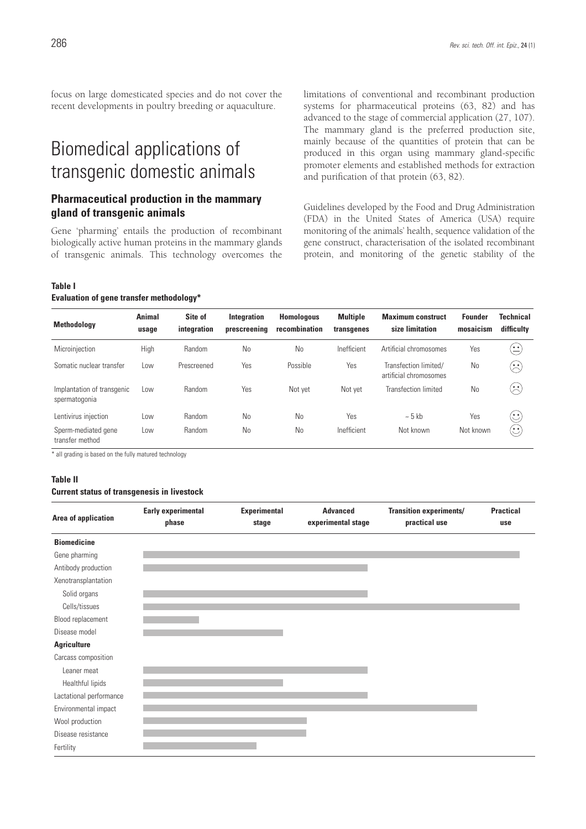focus on large domesticated species and do not cover the recent developments in poultry breeding or aquaculture.

# Biomedical applications of transgenic domestic animals

## **Pharmaceutical production in the mammary gland of transgenic animals**

Gene 'pharming' entails the production of recombinant biologically active human proteins in the mammary glands of transgenic animals. This technology overcomes the

#### **Table I**

#### **Evaluation of gene transfer methodology\***

limitations of conventional and recombinant production systems for pharmaceutical proteins (63, 82) and has advanced to the stage of commercial application (27, 107). The mammary gland is the preferred production site, mainly because of the quantities of protein that can be produced in this organ using mammary gland-specific promoter elements and established methods for extraction and purification of that protein (63, 82).

Guidelines developed by the Food and Drug Administration (FDA) in the United States of America (USA) require monitoring of the animals' health, sequence validation of the gene construct, characterisation of the isolated recombinant protein, and monitoring of the genetic stability of the

| <b>Methodology</b>                          | <b>Animal</b><br>usage | Site of<br>integration | Integration<br>prescreening | <b>Homologous</b><br>recombination | <b>Multiple</b><br>transgenes | <b>Maximum construct</b><br>size limitation     | <b>Founder</b><br>mosaicism | <b>Technical</b><br>difficulty |
|---------------------------------------------|------------------------|------------------------|-----------------------------|------------------------------------|-------------------------------|-------------------------------------------------|-----------------------------|--------------------------------|
| Microinjection                              | High                   | Random                 | No                          | <b>No</b>                          | Inefficient                   | Artificial chromosomes                          | Yes                         | $\hat{\cdot}$                  |
| Somatic nuclear transfer                    | Low                    | Prescreened            | Yes                         | Possible                           | Yes                           | Transfection limited/<br>artificial chromosomes | No                          | $\odot$                        |
| Implantation of transgenic<br>spermatogonia | Low                    | Random                 | Yes                         | Not yet                            | Not yet                       | <b>Transfection limited</b>                     | No                          | $\widehat{\mathbb{C}}$         |
| Lentivirus injection                        | Low                    | Random                 | <b>No</b>                   | No                                 | Yes                           | $\sim$ 5 kb                                     | Yes                         | $\mathbb{C}$                   |
| Sperm-mediated gene<br>transfer method      | Low                    | Random                 | <b>No</b>                   | <b>No</b>                          | Inefficient                   | Not known                                       | Not known                   | $(\ddot{\mathbf{c}})$          |

\* all grading is based on the fully matured technology

#### **Table II**

#### **Current status of transgenesis in livestock**

| <b>Area of application</b> | <b>Early experimental</b><br>phase | <b>Experimental</b><br>stage | <b>Advanced</b><br>experimental stage | <b>Transition experiments/</b><br>practical use | <b>Practical</b><br>use |
|----------------------------|------------------------------------|------------------------------|---------------------------------------|-------------------------------------------------|-------------------------|
| <b>Biomedicine</b>         |                                    |                              |                                       |                                                 |                         |
| Gene pharming              |                                    |                              |                                       |                                                 |                         |
| Antibody production        |                                    |                              |                                       |                                                 |                         |
| Xenotransplantation        |                                    |                              |                                       |                                                 |                         |
| Solid organs               |                                    |                              |                                       |                                                 |                         |
| Cells/tissues              |                                    |                              |                                       |                                                 |                         |
| Blood replacement          |                                    |                              |                                       |                                                 |                         |
| Disease model              |                                    |                              |                                       |                                                 |                         |
| <b>Agriculture</b>         |                                    |                              |                                       |                                                 |                         |
| Carcass composition        |                                    |                              |                                       |                                                 |                         |
| Leaner meat                |                                    |                              |                                       |                                                 |                         |
| Healthful lipids           |                                    |                              |                                       |                                                 |                         |
| Lactational performance    |                                    |                              |                                       |                                                 |                         |
| Environmental impact       |                                    |                              |                                       |                                                 |                         |
| Wool production            |                                    |                              |                                       |                                                 |                         |
| Disease resistance         |                                    |                              |                                       |                                                 |                         |
| Fertility                  |                                    |                              |                                       |                                                 |                         |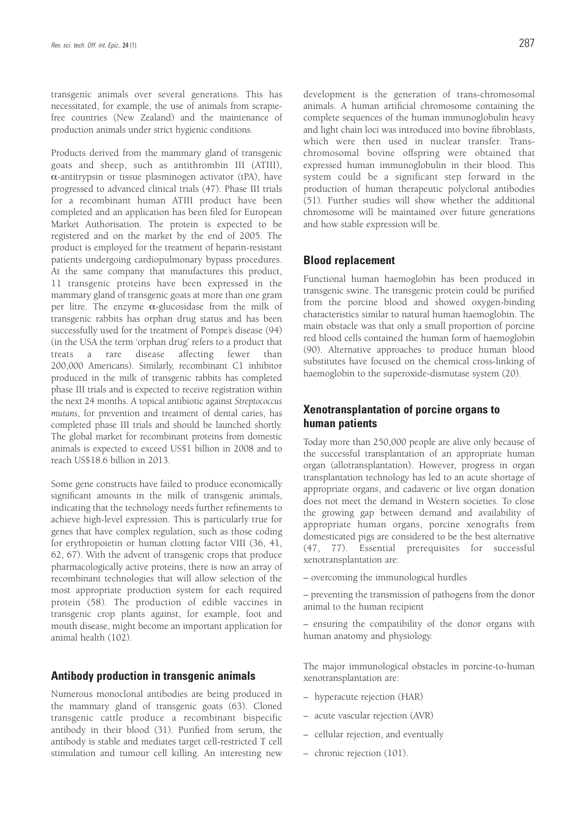transgenic animals over several generations. This has necessitated, for example, the use of animals from scrapiefree countries (New Zealand) and the maintenance of production animals under strict hygienic conditions.

Products derived from the mammary gland of transgenic goats and sheep, such as antithrombin III (ATIII), α-antitrypsin or tissue plasminogen activator (tPA), have progressed to advanced clinical trials (47). Phase III trials for a recombinant human ATIII product have been completed and an application has been filed for European Market Authorisation. The protein is expected to be registered and on the market by the end of 2005. The product is employed for the treatment of heparin-resistant patients undergoing cardiopulmonary bypass procedures. At the same company that manufactures this product, 11 transgenic proteins have been expressed in the mammary gland of transgenic goats at more than one gram per litre. The enzyme  $\alpha$ -glucosidase from the milk of transgenic rabbits has orphan drug status and has been successfully used for the treatment of Pompe's disease (94) (in the USA the term 'orphan drug' refers to a product that treats a rare disease affecting fewer than 200,000 Americans). Similarly, recombinant C1 inhibitor produced in the milk of transgenic rabbits has completed phase III trials and is expected to receive registration within the next 24 months. A topical antibiotic against *Streptococcus mutans*, for prevention and treatment of dental caries, has completed phase III trials and should be launched shortly. The global market for recombinant proteins from domestic animals is expected to exceed US\$1 billion in 2008 and to reach US\$18.6 billion in 2013.

Some gene constructs have failed to produce economically significant amounts in the milk of transgenic animals, indicating that the technology needs further refinements to achieve high-level expression. This is particularly true for genes that have complex regulation, such as those coding for erythropoietin or human clotting factor VIII (36, 41, 62, 67). With the advent of transgenic crops that produce pharmacologically active proteins, there is now an array of recombinant technologies that will allow selection of the most appropriate production system for each required protein (58). The production of edible vaccines in transgenic crop plants against, for example, foot and mouth disease, might become an important application for animal health (102).

### **Antibody production in transgenic animals**

Numerous monoclonal antibodies are being produced in the mammary gland of transgenic goats (63). Cloned transgenic cattle produce a recombinant bispecific antibody in their blood (31). Purified from serum, the antibody is stable and mediates target cell-restricted T cell stimulation and tumour cell killing. An interesting new development is the generation of trans-chromosomal animals. A human artificial chromosome containing the complete sequences of the human immunoglobulin heavy and light chain loci was introduced into bovine fibroblasts, which were then used in nuclear transfer. Transchromosomal bovine offspring were obtained that expressed human immunoglobulin in their blood. This system could be a significant step forward in the production of human therapeutic polyclonal antibodies (51). Further studies will show whether the additional chromosome will be maintained over future generations and how stable expression will be.

### **Blood replacement**

Functional human haemoglobin has been produced in transgenic swine. The transgenic protein could be purified from the porcine blood and showed oxygen-binding characteristics similar to natural human haemoglobin. The main obstacle was that only a small proportion of porcine red blood cells contained the human form of haemoglobin (90). Alternative approaches to produce human blood substitutes have focused on the chemical cross-linking of haemoglobin to the superoxide-dismutase system (20).

### **Xenotransplantation of porcine organs to human patients**

Today more than 250,000 people are alive only because of the successful transplantation of an appropriate human organ (allotransplantation). However, progress in organ transplantation technology has led to an acute shortage of appropriate organs, and cadaveric or live organ donation does not meet the demand in Western societies. To close the growing gap between demand and availability of appropriate human organs, porcine xenografts from domesticated pigs are considered to be the best alternative (47, 77). Essential prerequisites for successful xenotransplantation are:

– overcoming the immunological hurdles

– preventing the transmission of pathogens from the donor animal to the human recipient

– ensuring the compatibility of the donor organs with human anatomy and physiology.

The major immunological obstacles in porcine-to-human xenotransplantation are:

- hyperacute rejection (HAR)
- acute vascular rejection (AVR)
- cellular rejection, and eventually
- chronic rejection (101).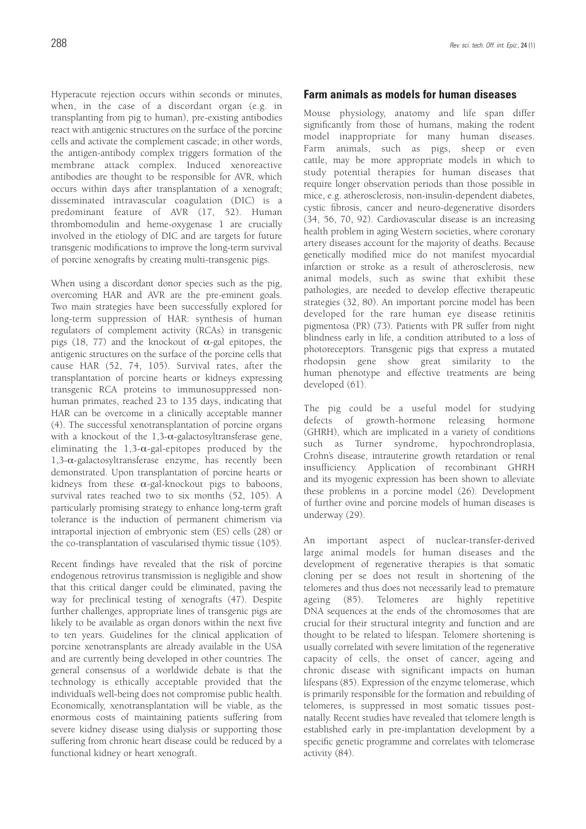Hyperacute rejection occurs within seconds or minutes, when, in the case of a discordant organ (e.g. in transplanting from pig to human), pre-existing antibodies react with antigenic structures on the surface of the porcine cells and activate the complement cascade; in other words, the antigen-antibody complex triggers formation of the membrane attack complex. Induced xenoreactive antibodies are thought to be responsible for AVR, which occurs within days after transplantation of a xenograft; disseminated intravascular coagulation (DIC) is a predominant feature of AVR (17, 52). Human thrombomodulin and heme-oxygenase 1 are crucially involved in the etiology of DIC and are targets for future transgenic modifications to improve the long-term survival of porcine xenografts by creating multi-transgenic pigs.

When using a discordant donor species such as the pig, overcoming HAR and AVR are the pre-eminent goals. Two main strategies have been successfully explored for long-term suppression of HAR: synthesis of human regulators of complement activity (RCAs) in transgenic pigs (18, 77) and the knockout of  $\alpha$ -gal epitopes, the antigenic structures on the surface of the porcine cells that cause HAR (52, 74, 105). Survival rates, after the transplantation of porcine hearts or kidneys expressing transgenic RCA proteins to immunosuppressed nonhuman primates, reached 23 to 135 days, indicating that HAR can be overcome in a clinically acceptable manner (4). The successful xenotransplantation of porcine organs with a knockout of the  $1,3$ - $\alpha$ -galactosyltransferase gene, eliminating the  $1,3$ - $\alpha$ -gal-epitopes produced by the 1,3-α-galactosyltransferase enzyme, has recently been demonstrated. Upon transplantation of porcine hearts or kidneys from these  $\alpha$ -gal-knockout pigs to baboons, survival rates reached two to six months (52, 105). A particularly promising strategy to enhance long-term graft tolerance is the induction of permanent chimerism via intraportal injection of embryonic stem (ES) cells (28) or the co-transplantation of vascularised thymic tissue (105).

Recent findings have revealed that the risk of porcine endogenous retrovirus transmission is negligible and show that this critical danger could be eliminated, paving the way for preclinical testing of xenografts (47). Despite further challenges, appropriate lines of transgenic pigs are likely to be available as organ donors within the next five to ten years. Guidelines for the clinical application of porcine xenotransplants are already available in the USA and are currently being developed in other countries. The general consensus of a worldwide debate is that the technology is ethically acceptable provided that the individual's well-being does not compromise public health. Economically, xenotransplantation will be viable, as the enormous costs of maintaining patients suffering from severe kidney disease using dialysis or supporting those suffering from chronic heart disease could be reduced by a functional kidney or heart xenograft.

### **Farm animals as models for human diseases**

Mouse physiology, anatomy and life span differ significantly from those of humans, making the rodent model inappropriate for many human diseases. Farm animals, such as pigs, sheep or even cattle, may be more appropriate models in which to study potential therapies for human diseases that require longer observation periods than those possible in mice, e.g. atherosclerosis, non-insulin-dependent diabetes, cystic fibrosis, cancer and neuro-degenerative disorders (34, 56, 70, 92). Cardiovascular disease is an increasing health problem in aging Western societies, where coronary artery diseases account for the majority of deaths. Because genetically modified mice do not manifest myocardial infarction or stroke as a result of atherosclerosis, new animal models, such as swine that exhibit these pathologies, are needed to develop effective therapeutic strategies (32, 80). An important porcine model has been developed for the rare human eye disease retinitis pigmentosa (PR) (73). Patients with PR suffer from night blindness early in life, a condition attributed to a loss of photoreceptors. Transgenic pigs that express a mutated rhodopsin gene show great similarity to the human phenotype and effective treatments are being developed (61).

The pig could be a useful model for studying defects of growth-hormone releasing hormone (GHRH), which are implicated in a variety of conditions such as Turner syndrome, hypochrondroplasia, Crohn's disease, intrauterine growth retardation or renal insufficiency. Application of recombinant GHRH and its myogenic expression has been shown to alleviate these problems in a porcine model (26). Development of further ovine and porcine models of human diseases is underway (29).

An important aspect of nuclear-transfer-derived large animal models for human diseases and the development of regenerative therapies is that somatic cloning per se does not result in shortening of the telomeres and thus does not necessarily lead to premature ageing (85). Telomeres are highly repetitive DNA sequences at the ends of the chromosomes that are crucial for their structural integrity and function and are thought to be related to lifespan. Telomere shortening is usually correlated with severe limitation of the regenerative capacity of cells, the onset of cancer, ageing and chronic disease with significant impacts on human lifespans (85). Expression of the enzyme telomerase, which is primarily responsible for the formation and rebuilding of telomeres, is suppressed in most somatic tissues postnatally. Recent studies have revealed that telomere length is established early in pre-implantation development by a specific genetic programme and correlates with telomerase activity (84).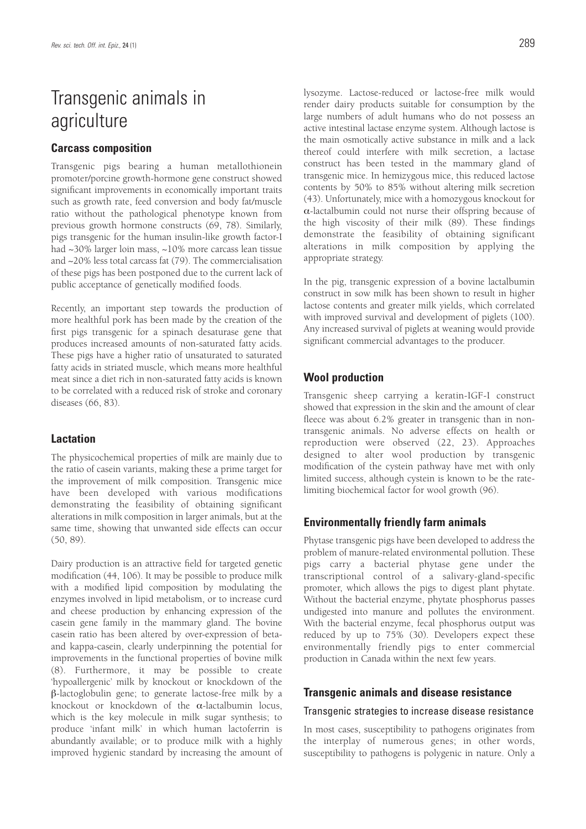# Transgenic animals in agriculture

### **Carcass composition**

Transgenic pigs bearing a human metallothionein promoter/porcine growth-hormone gene construct showed significant improvements in economically important traits such as growth rate, feed conversion and body fat/muscle ratio without the pathological phenotype known from previous growth hormone constructs (69, 78). Similarly, pigs transgenic for the human insulin-like growth factor-I had ~30% larger loin mass, ~10% more carcass lean tissue and ~20% less total carcass fat (79). The commercialisation of these pigs has been postponed due to the current lack of public acceptance of genetically modified foods.

Recently, an important step towards the production of more healthful pork has been made by the creation of the first pigs transgenic for a spinach desaturase gene that produces increased amounts of non-saturated fatty acids. These pigs have a higher ratio of unsaturated to saturated fatty acids in striated muscle, which means more healthful meat since a diet rich in non-saturated fatty acids is known to be correlated with a reduced risk of stroke and coronary diseases (66, 83).

### **Lactation**

The physicochemical properties of milk are mainly due to the ratio of casein variants, making these a prime target for the improvement of milk composition. Transgenic mice have been developed with various modifications demonstrating the feasibility of obtaining significant alterations in milk composition in larger animals, but at the same time, showing that unwanted side effects can occur (50, 89).

Dairy production is an attractive field for targeted genetic modification (44, 106). It may be possible to produce milk with a modified lipid composition by modulating the enzymes involved in lipid metabolism, or to increase curd and cheese production by enhancing expression of the casein gene family in the mammary gland. The bovine casein ratio has been altered by over-expression of betaand kappa-casein, clearly underpinning the potential for improvements in the functional properties of bovine milk (8). Furthermore, it may be possible to create 'hypoallergenic' milk by knockout or knockdown of the β-lactoglobulin gene; to generate lactose-free milk by a knockout or knockdown of the  $\alpha$ -lactalbumin locus, which is the key molecule in milk sugar synthesis; to produce 'infant milk' in which human lactoferrin is abundantly available; or to produce milk with a highly improved hygienic standard by increasing the amount of lysozyme. Lactose-reduced or lactose-free milk would render dairy products suitable for consumption by the large numbers of adult humans who do not possess an active intestinal lactase enzyme system. Although lactose is the main osmotically active substance in milk and a lack thereof could interfere with milk secretion, a lactase construct has been tested in the mammary gland of transgenic mice. In hemizygous mice, this reduced lactose contents by 50% to 85% without altering milk secretion (43). Unfortunately, mice with a homozygous knockout for α-lactalbumin could not nurse their offspring because of the high viscosity of their milk (89). These findings demonstrate the feasibility of obtaining significant alterations in milk composition by applying the appropriate strategy.

In the pig, transgenic expression of a bovine lactalbumin construct in sow milk has been shown to result in higher lactose contents and greater milk yields, which correlated with improved survival and development of piglets (100). Any increased survival of piglets at weaning would provide significant commercial advantages to the producer.

## **Wool production**

Transgenic sheep carrying a keratin-IGF-I construct showed that expression in the skin and the amount of clear fleece was about 6.2% greater in transgenic than in nontransgenic animals. No adverse effects on health or reproduction were observed (22, 23). Approaches designed to alter wool production by transgenic modification of the cystein pathway have met with only limited success, although cystein is known to be the ratelimiting biochemical factor for wool growth (96).

## **Environmentally friendly farm animals**

Phytase transgenic pigs have been developed to address the problem of manure-related environmental pollution. These pigs carry a bacterial phytase gene under the transcriptional control of a salivary-gland-specific promoter, which allows the pigs to digest plant phytate. Without the bacterial enzyme, phytate phosphorus passes undigested into manure and pollutes the environment. With the bacterial enzyme, fecal phosphorus output was reduced by up to 75% (30). Developers expect these environmentally friendly pigs to enter commercial production in Canada within the next few years.

### **Transgenic animals and disease resistance**

### Transgenic strategies to increase disease resistance

In most cases, susceptibility to pathogens originates from the interplay of numerous genes; in other words, susceptibility to pathogens is polygenic in nature. Only a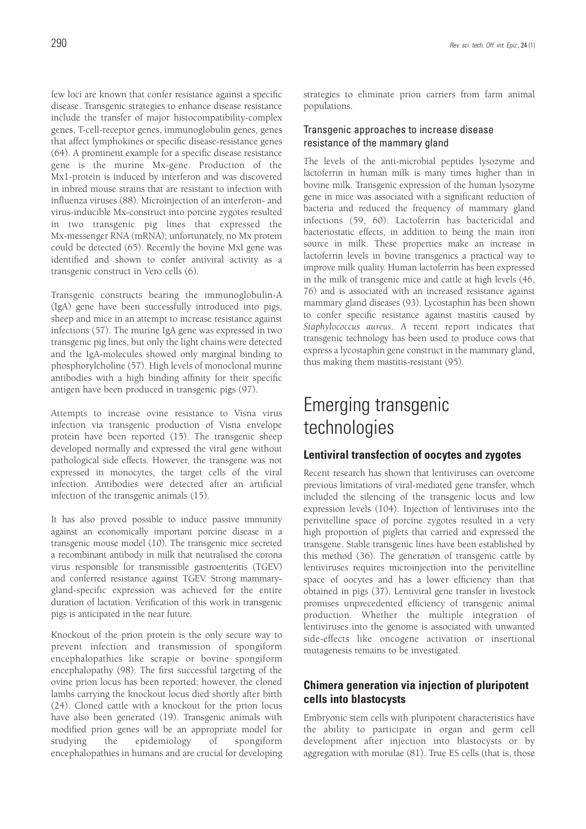few loci are known that confer resistance against a specific disease. Transgenic strategies to enhance disease resistance include the transfer of major histocompatibility-complex genes, T-cell-receptor genes, immunoglobulin genes, genes that affect lymphokines or specific disease-resistance genes (64). A prominent example for a specific disease resistance gene is the murine Mx-gene. Production of the Mx1-protein is induced by interferon and was discovered in inbred mouse strains that are resistant to infection with influenza viruses (88). Microinjection of an interferon- and virus-inducible Mx-construct into porcine zygotes resulted in two transgenic pig lines that expressed the Mx-messenger RNA (mRNA); unfortunately, no Mx protein could be detected (65). Recently the bovine MxI gene was identified and shown to confer antiviral activity as a transgenic construct in Vero cells (6).

Transgenic constructs bearing the immunoglobulin-A (IgA) gene have been successfully introduced into pigs, sheep and mice in an attempt to increase resistance against infections (57). The murine IgA gene was expressed in two transgenic pig lines, but only the light chains were detected and the IgA-molecules showed only marginal binding to phosphorylcholine (57). High levels of monoclonal murine antibodies with a high binding affinity for their specific antigen have been produced in transgenic pigs (97).

Attempts to increase ovine resistance to Visna virus infection via transgenic production of Visna envelope protein have been reported (15). The transgenic sheep developed normally and expressed the viral gene without pathological side effects. However, the transgene was not expressed in monocytes, the target cells of the viral infection. Antibodies were detected after an artificial infection of the transgenic animals (15).

It has also proved possible to induce passive immunity against an economically important porcine disease in a transgenic mouse model (10). The transgenic mice secreted a recombinant antibody in milk that neutralised the corona virus responsible for transmissible gastroenteritis (TGEV) and conferred resistance against TGEV. Strong mammarygland-specific expression was achieved for the entire duration of lactation. Verification of this work in transgenic pigs is anticipated in the near future.

Knockout of the prion protein is the only secure way to prevent infection and transmission of spongiform encephalopathies like scrapie or bovine spongiform encephalopathy (98). The first successful targeting of the ovine prion locus has been reported; however, the cloned lambs carrying the knockout locus died shortly after birth (24). Cloned cattle with a knockout for the prion locus have also been generated (19). Transgenic animals with modified prion genes will be an appropriate model for studying the epidemiology of spongiform encephalopathies in humans and are crucial for developing

strategies to eliminate prion carriers from farm animal populations.

### Transgenic approaches to increase disease resistance of the mammary gland

The levels of the anti-microbial peptides lysozyme and lactoferrin in human milk is many times higher than in bovine milk. Transgenic expression of the human lysozyme gene in mice was associated with a significant reduction of bacteria and reduced the frequency of mammary gland infections (59, 60). Lactoferrin has bactericidal and bacteriostatic effects, in addition to being the main iron source in milk. These properties make an increase in lactoferrin levels in bovine transgenics a practical way to improve milk quality. Human lactoferrin has been expressed in the milk of transgenic mice and cattle at high levels (46, 76) and is associated with an increased resistance against mammary gland diseases (93). Lycostaphin has been shown to confer specific resistance against mastitis caused by *Staphylococcus aureus*. A recent report indicates that transgenic technology has been used to produce cows that express a lycostaphin gene construct in the mammary gland, thus making them mastitis-resistant (95).

# Emerging transgenic technologies

### **Lentiviral transfection of oocytes and zygotes**

Recent research has shown that lentiviruses can overcome previous limitations of viral-mediated gene transfer, which included the silencing of the transgenic locus and low expression levels (104). Injection of lentiviruses into the perivitelline space of porcine zygotes resulted in a very high proportion of piglets that carried and expressed the transgene. Stable transgenic lines have been established by this method (36). The generation of transgenic cattle by lentiviruses requires microinjection into the perivitelline space of oocytes and has a lower efficiency than that obtained in pigs (37). Lentiviral gene transfer in livestock promises unprecedented efficiency of transgenic animal production. Whether the multiple integration of lentiviruses into the genome is associated with unwanted side-effects like oncogene activation or insertional mutagenesis remains to be investigated.

## **Chimera generation via injection of pluripotent cells into blastocysts**

Embryonic stem cells with pluripotent characteristics have the ability to participate in organ and germ cell development after injection into blastocysts or by aggregation with morulae (81). True ES cells (that is, those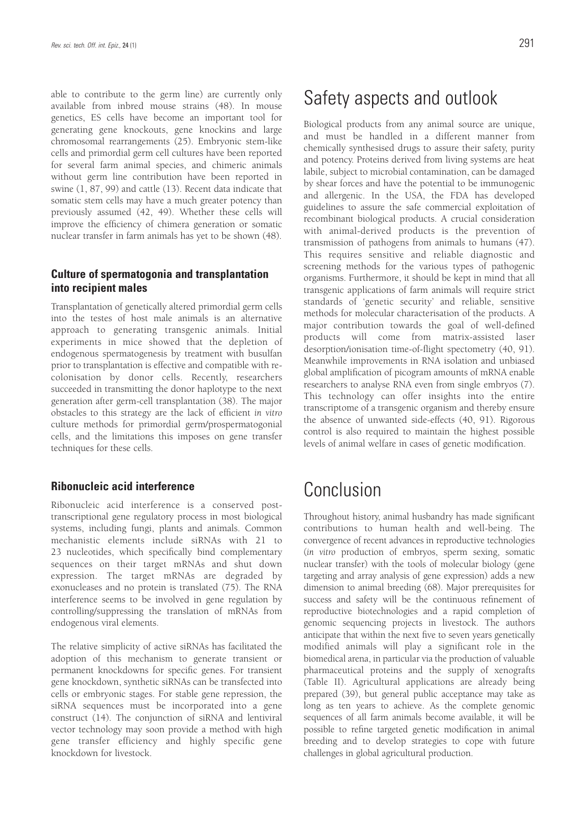able to contribute to the germ line) are currently only available from inbred mouse strains (48). In mouse genetics, ES cells have become an important tool for generating gene knockouts, gene knockins and large chromosomal rearrangements (25). Embryonic stem-like cells and primordial germ cell cultures have been reported for several farm animal species, and chimeric animals without germ line contribution have been reported in swine (1, 87, 99) and cattle (13). Recent data indicate that somatic stem cells may have a much greater potency than previously assumed (42, 49). Whether these cells will improve the efficiency of chimera generation or somatic nuclear transfer in farm animals has yet to be shown (48).

# **Culture of spermatogonia and transplantation into recipient males**

Transplantation of genetically altered primordial germ cells into the testes of host male animals is an alternative approach to generating transgenic animals. Initial experiments in mice showed that the depletion of endogenous spermatogenesis by treatment with busulfan prior to transplantation is effective and compatible with recolonisation by donor cells. Recently, researchers succeeded in transmitting the donor haplotype to the next generation after germ-cell transplantation (38). The major obstacles to this strategy are the lack of efficient *in vitro* culture methods for primordial germ/prospermatogonial cells, and the limitations this imposes on gene transfer techniques for these cells.

### **Ribonucleic acid interference**

Ribonucleic acid interference is a conserved posttranscriptional gene regulatory process in most biological systems, including fungi, plants and animals. Common mechanistic elements include siRNAs with 21 to 23 nucleotides, which specifically bind complementary sequences on their target mRNAs and shut down expression. The target mRNAs are degraded by exonucleases and no protein is translated (75). The RNA interference seems to be involved in gene regulation by controlling/suppressing the translation of mRNAs from endogenous viral elements.

The relative simplicity of active siRNAs has facilitated the adoption of this mechanism to generate transient or permanent knockdowns for specific genes. For transient gene knockdown, synthetic siRNAs can be transfected into cells or embryonic stages. For stable gene repression, the siRNA sequences must be incorporated into a gene construct (14). The conjunction of siRNA and lentiviral vector technology may soon provide a method with high gene transfer efficiency and highly specific gene knockdown for livestock.

# Safety aspects and outlook

Biological products from any animal source are unique, and must be handled in a different manner from chemically synthesised drugs to assure their safety, purity and potency. Proteins derived from living systems are heat labile, subject to microbial contamination, can be damaged by shear forces and have the potential to be immunogenic and allergenic. In the USA, the FDA has developed guidelines to assure the safe commercial exploitation of recombinant biological products. A crucial consideration with animal-derived products is the prevention of transmission of pathogens from animals to humans (47). This requires sensitive and reliable diagnostic and screening methods for the various types of pathogenic organisms. Furthermore, it should be kept in mind that all transgenic applications of farm animals will require strict standards of 'genetic security' and reliable, sensitive methods for molecular characterisation of the products. A major contribution towards the goal of well-defined products will come from matrix-assisted laser desorption/ionisation time-of-flight spectometry (40, 91). Meanwhile improvements in RNA isolation and unbiased global amplification of picogram amounts of mRNA enable researchers to analyse RNA even from single embryos (7). This technology can offer insights into the entire transcriptome of a transgenic organism and thereby ensure the absence of unwanted side-effects (40, 91). Rigorous control is also required to maintain the highest possible levels of animal welfare in cases of genetic modification.

# Conclusion

Throughout history, animal husbandry has made significant contributions to human health and well-being. The convergence of recent advances in reproductive technologies (*in vitro* production of embryos, sperm sexing, somatic nuclear transfer) with the tools of molecular biology (gene targeting and array analysis of gene expression) adds a new dimension to animal breeding (68). Major prerequisites for success and safety will be the continuous refinement of reproductive biotechnologies and a rapid completion of genomic sequencing projects in livestock. The authors anticipate that within the next five to seven years genetically modified animals will play a significant role in the biomedical arena, in particular via the production of valuable pharmaceutical proteins and the supply of xenografts (Table II). Agricultural applications are already being prepared (39), but general public acceptance may take as long as ten years to achieve. As the complete genomic sequences of all farm animals become available, it will be possible to refine targeted genetic modification in animal breeding and to develop strategies to cope with future challenges in global agricultural production.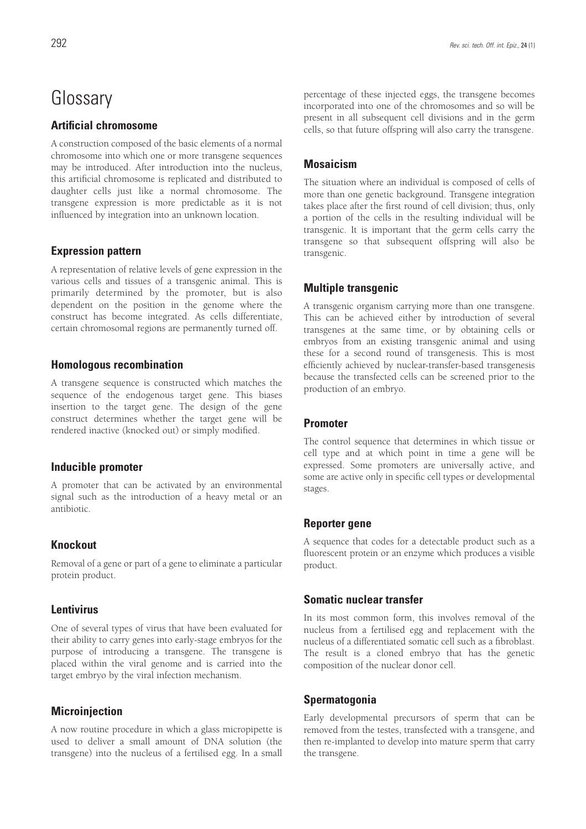# **Glossary**

## **Artificial chromosome**

A construction composed of the basic elements of a normal chromosome into which one or more transgene sequences may be introduced. After introduction into the nucleus, this artificial chromosome is replicated and distributed to daughter cells just like a normal chromosome. The transgene expression is more predictable as it is not influenced by integration into an unknown location.

# **Expression pattern**

A representation of relative levels of gene expression in the various cells and tissues of a transgenic animal. This is primarily determined by the promoter, but is also dependent on the position in the genome where the construct has become integrated. As cells differentiate, certain chromosomal regions are permanently turned off.

## **Homologous recombination**

A transgene sequence is constructed which matches the sequence of the endogenous target gene. This biases insertion to the target gene. The design of the gene construct determines whether the target gene will be rendered inactive (knocked out) or simply modified.

## **Inducible promoter**

A promoter that can be activated by an environmental signal such as the introduction of a heavy metal or an antibiotic.

# **Knockout**

Removal of a gene or part of a gene to eliminate a particular protein product.

## **Lentivirus**

One of several types of virus that have been evaluated for their ability to carry genes into early-stage embryos for the purpose of introducing a transgene. The transgene is placed within the viral genome and is carried into the target embryo by the viral infection mechanism.

# **Microinjection**

A now routine procedure in which a glass micropipette is used to deliver a small amount of DNA solution (the transgene) into the nucleus of a fertilised egg. In a small percentage of these injected eggs, the transgene becomes incorporated into one of the chromosomes and so will be present in all subsequent cell divisions and in the germ cells, so that future offspring will also carry the transgene.

## **Mosaicism**

The situation where an individual is composed of cells of more than one genetic background. Transgene integration takes place after the first round of cell division; thus, only a portion of the cells in the resulting individual will be transgenic. It is important that the germ cells carry the transgene so that subsequent offspring will also be transgenic.

## **Multiple transgenic**

A transgenic organism carrying more than one transgene. This can be achieved either by introduction of several transgenes at the same time, or by obtaining cells or embryos from an existing transgenic animal and using these for a second round of transgenesis. This is most efficiently achieved by nuclear-transfer-based transgenesis because the transfected cells can be screened prior to the production of an embryo.

## **Promoter**

The control sequence that determines in which tissue or cell type and at which point in time a gene will be expressed. Some promoters are universally active, and some are active only in specific cell types or developmental stages.

## **Reporter gene**

A sequence that codes for a detectable product such as a fluorescent protein or an enzyme which produces a visible product.

## **Somatic nuclear transfer**

In its most common form, this involves removal of the nucleus from a fertilised egg and replacement with the nucleus of a differentiated somatic cell such as a fibroblast. The result is a cloned embryo that has the genetic composition of the nuclear donor cell.

## **Spermatogonia**

Early developmental precursors of sperm that can be removed from the testes, transfected with a transgene, and then re-implanted to develop into mature sperm that carry the transgene.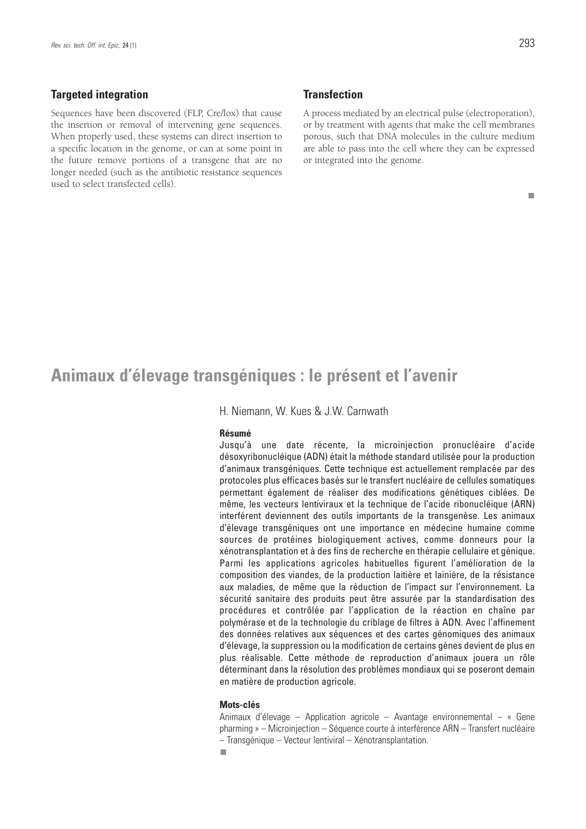### **Targeted integration**

Sequences have been discovered (FLP, Cre/lox) that cause the insertion or removal of intervening gene sequences. When properly used, these systems can direct insertion to a specific location in the genome, or can at some point in the future remove portions of a transgene that are no longer needed (such as the antibiotic resistance sequences used to select transfected cells).

### **Transfection**

A process mediated by an electrical pulse (electroporation), or by treatment with agents that make the cell membranes porous, such that DNA molecules in the culture medium are able to pass into the cell where they can be expressed or integrated into the genome.

#### П

# **Animaux d'élevage transgéniques : le présent et l'avenir**

H. Niemann, W. Kues & J.W. Carnwath

#### **Résumé**

Jusqu'à une date récente, la microinjection pronucléaire d'acide désoxyribonucléique (ADN) était la méthode standard utilisée pour la production d'animaux transgéniques. Cette technique est actuellement remplacée par des protocoles plus efficaces basés sur le transfert nucléaire de cellules somatiques permettant également de réaliser des modifications génétiques ciblées. De même, les vecteurs lentiviraux et la technique de l'acide ribonucléique (ARN) interférent deviennent des outils importants de la transgenèse. Les animaux d'élevage transgéniques ont une importance en médecine humaine comme sources de protéines biologiquement actives, comme donneurs pour la xénotransplantation et à des fins de recherche en thérapie cellulaire et génique. Parmi les applications agricoles habituelles figurent l'amélioration de la composition des viandes, de la production laitière et lainière, de la résistance aux maladies, de même que la réduction de l'impact sur l'environnement. La sécurité sanitaire des produits peut être assurée par la standardisation des procédures et contrôlée par l'application de la réaction en chaîne par polymérase et de la technologie du criblage de filtres à ADN. Avec l'affinement des données relatives aux séquences et des cartes génomiques des animaux d'élevage, la suppression ou la modification de certains gènes devient de plus en plus réalisable. Cette méthode de reproduction d'animaux jouera un rôle déterminant dans la résolution des problèmes mondiaux qui se poseront demain en matière de production agricole.

### **Mots-clés**

Animaux d'élevage – Application agricole – Avantage environnemental – « Gene pharming » – Microinjection – Séquence courte à interférence ARN – Transfert nucléaire – Transgénique – Vecteur lentiviral – Xénotransplantation.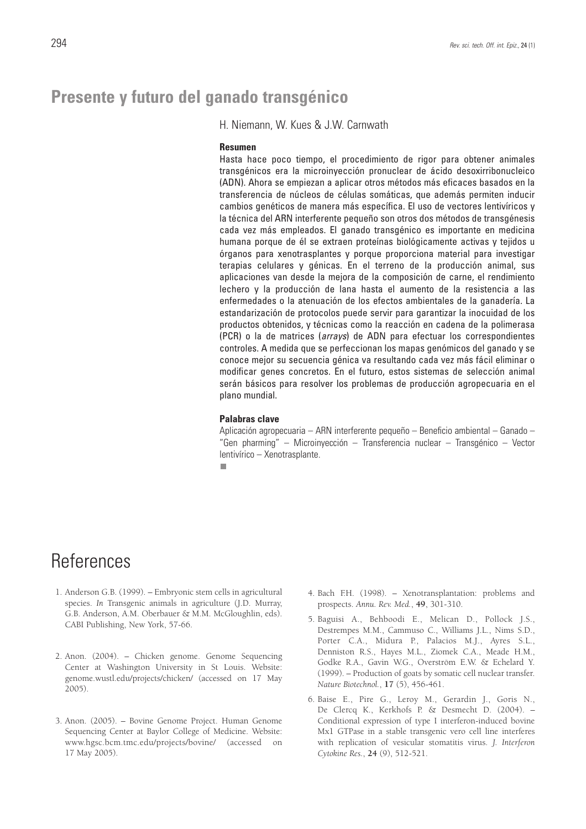# **Presente y futuro del ganado transgénico**

H. Niemann, W. Kues & J.W. Carnwath

### **Resumen**

Hasta hace poco tiempo, el procedimiento de rigor para obtener animales transgénicos era la microinyección pronuclear de ácido desoxirribonucleico (ADN). Ahora se empiezan a aplicar otros métodos más eficaces basados en la transferencia de núcleos de células somáticas, que además permiten inducir cambios genéticos de manera más específica. El uso de vectores lentivíricos y la técnica del ARN interferente pequeño son otros dos métodos de transgénesis cada vez más empleados. El ganado transgénico es importante en medicina humana porque de él se extraen proteínas biológicamente activas y tejidos u órganos para xenotrasplantes y porque proporciona material para investigar terapias celulares y génicas. En el terreno de la producción animal, sus aplicaciones van desde la mejora de la composición de carne, el rendimiento lechero y la producción de lana hasta el aumento de la resistencia a las enfermedades o la atenuación de los efectos ambientales de la ganadería. La estandarización de protocolos puede servir para garantizar la inocuidad de los productos obtenidos, y técnicas como la reacción en cadena de la polimerasa (PCR) o la de matrices (arrays) de ADN para efectuar los correspondientes controles. A medida que se perfeccionan los mapas genómicos del ganado y se conoce mejor su secuencia génica va resultando cada vez más fácil eliminar o modificar genes concretos. En el futuro, estos sistemas de selección animal serán básicos para resolver los problemas de producción agropecuaria en el plano mundial.

#### **Palabras clave**

Aplicación agropecuaria – ARN interferente pequeño – Beneficio ambiental – Ganado – "Gen pharming" – Microinyección – Transferencia nuclear – Transgénico – Vector lentivírico – Xenotrasplante.

П

# **References**

- 1. Anderson G.B. (1999). Embryonic stem cells in agricultural species. *In* Transgenic animals in agriculture (J.D. Murray, G.B. Anderson, A.M. Oberbauer & M.M. McGloughlin, eds). CABI Publishing, New York, 57-66.
- 2. Anon. (2004). Chicken genome. Genome Sequencing Center at Washington University in St Louis. Website: genome.wustl.edu/projects/chicken/ (accessed on 17 May 2005).
- 3. Anon. (2005). Bovine Genome Project. Human Genome Sequencing Center at Baylor College of Medicine. Website: www.hgsc.bcm.tmc.edu/projects/bovine/ (accessed on 17 May 2005).
- 4. Bach F.H. (1998). Xenotransplantation: problems and prospects. *Annu. Rev. Med.*, **49**, 301-310.
- 5. Baguisi A., Behboodi E., Melican D., Pollock J.S., Destrempes M.M., Cammuso C., Williams J.L., Nims S.D., Porter C.A., Midura P., Palacios M.J., Ayres S.L., Denniston R.S., Hayes M.L., Ziomek C.A., Meade H.M., Godke R.A., Gavin W.G., Overström E.W. & Echelard Y. (1999). – Production of goats by somatic cell nuclear transfer. *Nature Biotechnol.*, **17** (5), 456-461.
- 6. Baise E., Pire G., Leroy M., Gerardin J., Goris N., De Clercq K., Kerkhofs P. & Desmecht D. (2004). – Conditional expression of type I interferon-induced bovine Mx1 GTPase in a stable transgenic vero cell line interferes with replication of vesicular stomatitis virus. *J. Interferon Cytokine Res.*, **24** (9), 512-521.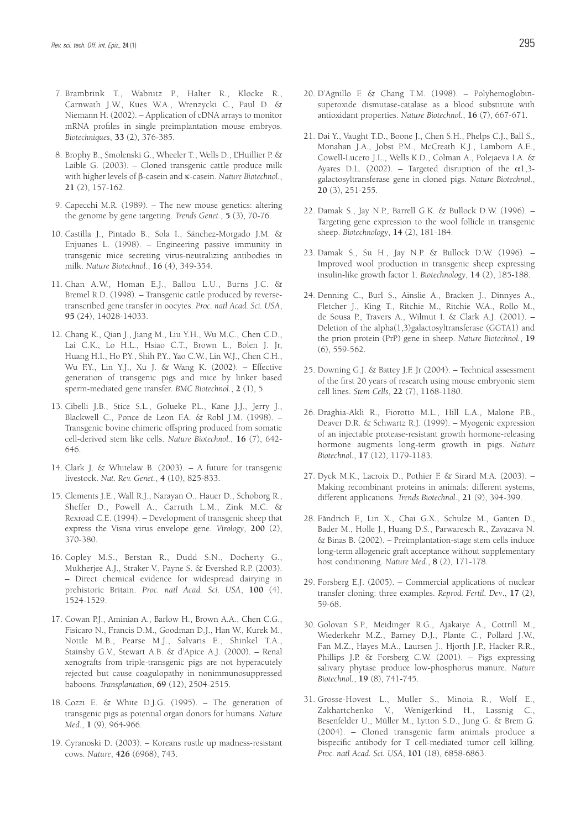- 7. Brambrink T., Wabnitz P., Halter R., Klocke R., Carnwath J.W., Kues W.A., Wrenzycki C., Paul D. & Niemann H. (2002). – Application of cDNA arrays to monitor mRNA profiles in single preimplantation mouse embryos. *Biotechniques*, **33** (2), 376-385.
- 8. Brophy B., Smolenski G., Wheeler T., Wells D., L'Huillier P. & Laible G. (2003). – Cloned transgenic cattle produce milk with higher levels of β-casein and κ-casein. *Nature Biotechnol.*, **21** (2), 157-162.
- 9. Capecchi M.R. (1989). The new mouse genetics: altering the genome by gene targeting. *Trends Genet.*, **5** (3), 70-76.
- 10. Castilla J., Pintado B., Sola I., Sánchez-Morgado J.M. & Enjuanes L. (1998). – Engineering passive immunity in transgenic mice secreting virus-neutralizing antibodies in milk. *Nature Biotechnol.*, **16** (4), 349-354.
- 11. Chan A.W., Homan E.J., Ballou L.U., Burns J.C. & Bremel R.D. (1998). – Transgenic cattle produced by reversetranscribed gene transfer in oocytes. *Proc. natl Acad. Sci. USA*, **95** (24), 14028-14033.
- 12. Chang K., Qian J., Jiang M., Liu Y.H., Wu M.C., Chen C.D., Lai C.K., Lo H.L., Hsiao C.T., Brown L., Bolen J. Jr, Huang H.I., Ho P.Y., Shih P.Y., Yao C.W., Lin W.J., Chen C.H., Wu F.Y., Lin Y.J., Xu J. & Wang K. (2002). – Effective generation of transgenic pigs and mice by linker based sperm-mediated gene transfer. *BMC Biotechnol.*, **2** (1), 5.
- 13. Cibelli J.B., Stice S.L., Golueke P.L., Kane J.J., Jerry J., Blackwell C., Ponce de Leon F.A. & Robl J.M. (1998). – Transgenic bovine chimeric offspring produced from somatic cell-derived stem like cells. *Nature Biotechnol.*, **16** (7), 642- 646.
- 14. Clark J. & Whitelaw B. (2003). A future for transgenic livestock. *Nat. Rev. Genet.*, **4** (10), 825-833.
- 15. Clements J.E., Wall R.J., Narayan O., Hauer D., Schoborg R., Sheffer D., Powell A., Carruth L.M., Zink M.C. & Rexroad C.E. (1994). – Development of transgenic sheep that express the Visna virus envelope gene. *Virology*, **200** (2), 370-380.
- 16. Copley M.S., Berstan R., Dudd S.N., Docherty G., Mukherjee A.J., Straker V., Payne S. & Evershed R.P. (2003). – Direct chemical evidence for widespread dairying in prehistoric Britain. *Proc. natl Acad. Sci. USA*, **100** (4), 1524-1529.
- 17. Cowan P.J., Aminian A., Barlow H., Brown A.A., Chen C.G., Fisicaro N., Francis D.M., Goodman D.J., Han W., Kurek M., Nottle M.B., Pearse M.J., Salvaris E., Shinkel T.A., Stainsby G.V., Stewart A.B. & d'Apice A.J. (2000). – Renal xenografts from triple-transgenic pigs are not hyperacutely rejected but cause coagulopathy in nonimmunosuppressed baboons. *Transplantation*, **69** (12), 2504-2515.
- 18. Cozzi E. & White D.J.G. (1995). The generation of transgenic pigs as potential organ donors for humans. *Nature Med.*, **1** (9), 964-966.
- 19. Cyranoski D. (2003). Koreans rustle up madness-resistant cows. *Nature*, **426** (6968), 743.
- 20. D'Agnillo F. & Chang T.M. (1998). Polyhemoglobinsuperoxide dismutase-catalase as a blood substitute with antioxidant properties. *Nature Biotechnol.*, **16** (7), 667-671.
- 21. Dai Y., Vaught T.D., Boone J., Chen S.H., Phelps C.J., Ball S., Monahan J.A., Jobst P.M., McCreath K.J., Lamborn A.E., Cowell-Lucero J.L., Wells K.D., Colman A., Polejaeva I.A. & Ayares D.L. (2002). – Targeted disruption of the  $\alpha$ 1,3galactosyltransferase gene in cloned pigs. *Nature Biotechnol.*, **20** (3), 251-255.
- 22. Damak S., Jay N.P., Barrell G.K. & Bullock D.W. (1996). Targeting gene expression to the wool follicle in transgenic sheep. *Biotechnology*, **14** (2), 181-184.
- 23. Damak S., Su H., Jay N.P. & Bullock D.W. (1996). Improved wool production in transgenic sheep expressing insulin-like growth factor 1. *Biotechnology*, **14** (2), 185-188.
- 24. Denning C., Burl S., Ainslie A., Bracken J., Dinnyes A., Fletcher J., King T., Ritchie M., Ritchie W.A., Rollo M., de Sousa P., Travers A., Wilmut I. & Clark A.J. (2001). – Deletion of the alpha(1,3)galactosyltransferase (GGTA1) and the prion protein (PrP) gene in sheep. *Nature Biotechnol.*, **19** (6), 559-562.
- 25. Downing G.J. & Battey J.F. Jr (2004). Technical assessment of the first 20 years of research using mouse embryonic stem cell lines. *Stem Cells*, **22** (7), 1168-1180.
- 26. Draghia-Akli R., Fiorotto M.L., Hill L.A., Malone P.B., Deaver D.R. & Schwartz R.J. (1999). – Myogenic expression of an injectable protease-resistant growth hormone-releasing hormone augments long-term growth in pigs. *Nature Biotechnol.*, **17** (12), 1179-1183.
- 27. Dyck M.K., Lacroix D., Pothier F. & Sirard M.A. (2003). Making recombinant proteins in animals: different systems, different applications. *Trends Biotechnol.*, **21** (9), 394-399.
- 28. Fändrich F., Lin X., Chai G.X., Schulze M., Ganten D., Bader M., Holle J., Huang D.S., Parwaresch R., Zavazava N. & Binas B. (2002). – Preimplantation-stage stem cells induce long-term allogeneic graft acceptance without supplementary host conditioning. *Nature Med.*, **8** (2), 171-178.
- 29. Forsberg E.J. (2005). Commercial applications of nuclear transfer cloning: three examples. *Reprod. Fertil. Dev*., **17** (2), 59-68.
- 30. Golovan S.P., Meidinger R.G., Ajakaiye A., Cottrill M., Wiederkehr M.Z., Barney D.J., Plante C., Pollard J.W., Fan M.Z., Hayes M.A., Laursen J., Hjorth J.P., Hacker R.R., Phillips J.P. & Forsberg C.W. (2001). – Pigs expressing salivary phytase produce low-phosphorus manure. *Nature Biotechnol.*, **19** (8), 741-745.
- 31. Grosse-Hovest L., Muller S., Minoia R., Wolf E., Zakhartchenko V., Wenigerkind H., Lassnig C., Besenfelder U., Müller M., Lytton S.D., Jung G. & Brem G. (2004). – Cloned transgenic farm animals produce a bispecific antibody for T cell-mediated tumor cell killing. *Proc. natl Acad. Sci. USA*, **101** (18), 6858-6863.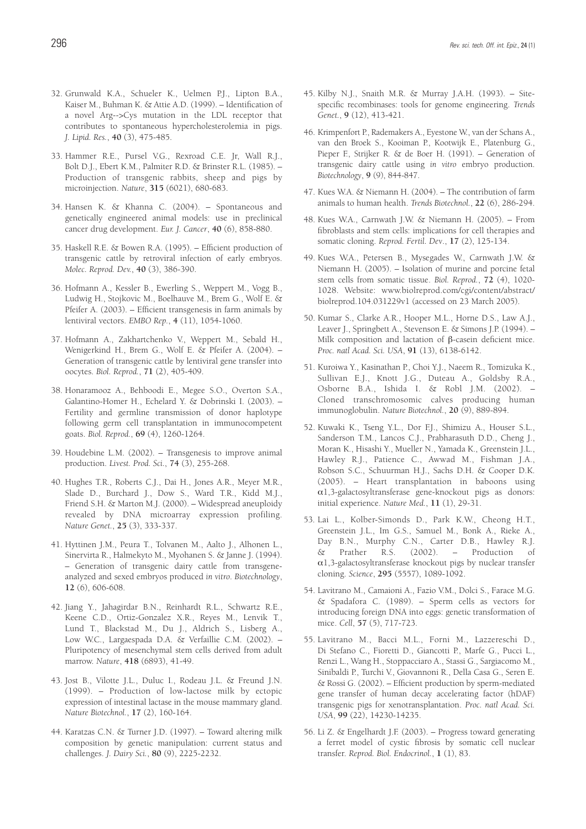- 33. Hammer R.E., Pursel V.G., Rexroad C.E. Jr, Wall R.J., Bolt D.J., Ebert K.M., Palmiter R.D. & Brinster R.L. (1985). – Production of transgenic rabbits, sheep and pigs by microinjection. *Nature*, **315** (6021), 680-683.
- 34. Hansen K. & Khanna C. (2004). Spontaneous and genetically engineered animal models: use in preclinical cancer drug development. *Eur. J. Cancer*, **40** (6), 858-880.
- 35. Haskell R.E. & Bowen R.A. (1995). Efficient production of transgenic cattle by retroviral infection of early embryos. *Molec. Reprod. Dev.*, **40** (3), 386-390.
- 36. Hofmann A., Kessler B., Ewerling S., Weppert M., Vogg B., Ludwig H., Stojkovic M., Boelhauve M., Brem G., Wolf E. & Pfeifer A. (2003). – Efficient transgenesis in farm animals by lentiviral vectors. *EMBO Rep.*, **4** (11), 1054-1060.
- 37. Hofmann A., Zakhartchenko V., Weppert M., Sebald H., Wenigerkind H., Brem G., Wolf E. & Pfeifer A. (2004). – Generation of transgenic cattle by lentiviral gene transfer into oocytes. *Biol. Reprod.*, **71** (2), 405-409.
- 38. Honaramooz A., Behboodi E., Megee S.O., Overton S.A., Galantino-Homer H., Echelard Y. & Dobrinski I. (2003). – Fertility and germline transmission of donor haplotype following germ cell transplantation in immunocompetent goats. *Biol. Reprod.*, **69** (4), 1260-1264.
- 39. Houdebine L.M. (2002). Transgenesis to improve animal production. *Livest. Prod. Sci.*, **74** (3), 255-268.
- 40. Hughes T.R., Roberts C.J., Dai H., Jones A.R., Meyer M.R., Slade D., Burchard J., Dow S., Ward T.R., Kidd M.J., Friend S.H. & Marton M.J. (2000). – Widespread aneuploidy revealed by DNA microarray expression profiling. *Nature Genet.*, **25** (3), 333-337.
- 41. Hyttinen J.M., Peura T., Tolvanen M., Aalto J., Alhonen L., Sinervirta R., Halmekyto M., Myohanen S. & Janne J. (1994). – Generation of transgenic dairy cattle from transgeneanalyzed and sexed embryos produced *in vitro*. *Biotechnology*, **12** (6), 606-608.
- 42. Jiang Y., Jahagirdar B.N., Reinhardt R.L., Schwartz R.E., Keene C.D., Ortiz-Gonzalez X.R., Reyes M., Lenvik T., Lund T., Blackstad M., Du J., Aldrich S., Lisberg A., Low W.C., Largaespada D.A. & Verfaillie C.M. (2002). – Pluripotency of mesenchymal stem cells derived from adult marrow. *Nature*, **418** (6893), 41-49.
- 43. Jost B., Vilotte J.L., Duluc I., Rodeau J.L. & Freund J.N. (1999). – Production of low-lactose milk by ectopic expression of intestinal lactase in the mouse mammary gland. *Nature Biotechnol.*, **17** (2), 160-164.
- 44. Karatzas C.N. & Turner J.D. (1997). Toward altering milk composition by genetic manipulation: current status and challenges. *J. Dairy Sci.*, **80** (9), 2225-2232.
- 45. Kilby N.J., Snaith M.R. & Murray J.A.H. (1993). Sitespecific recombinases: tools for genome engineering. *Trends Genet.*, **9** (12), 413-421.
- 46. Krimpenfort P., Rademakers A., Eyestone W., van der Schans A., van den Broek S., Kooiman P., Kootwijk E., Platenburg G., Pieper F., Strijker R. & de Boer H. (1991). – Generation of transgenic dairy cattle using *in vitro* embryo production. *Biotechnology*, **9** (9), 844-847.
- 47. Kues W.A. & Niemann H. (2004). The contribution of farm animals to human health. *Trends Biotechnol.*, **22** (6), 286-294.
- 48. Kues W.A., Carnwath J.W. & Niemann H. (2005). From fibroblasts and stem cells: implications for cell therapies and somatic cloning. *Reprod. Fertil. Dev*., **17** (2), 125-134.
- 49. Kues W.A., Petersen B., Mysegades W., Carnwath J.W. & Niemann H. (2005). – Isolation of murine and porcine fetal stem cells from somatic tissue. *Biol. Reprod.*, **72** (4), 1020- 1028. Website: www.biolreprod.com/cgi/content/abstract/ biolreprod.104.031229v1 (accessed on 23 March 2005).
- 50. Kumar S., Clarke A.R., Hooper M.L., Horne D.S., Law A.J., Leaver J., Springbett A., Stevenson E. & Simons J.P. (1994). – Milk composition and lactation of β-casein deficient mice. *Proc. natl Acad. Sci. USA*, **91** (13), 6138-6142.
- 51. Kuroiwa Y., Kasinathan P., Choi Y.J., Naeem R., Tomizuka K., Sullivan E.J., Knott J.G., Duteau A., Goldsby R.A., Osborne B.A., Ishida I. & Robl J.M. (2002). – Cloned transchromosomic calves producing human immunoglobulin. *Nature Biotechnol.*, **20** (9), 889-894.
- 52. Kuwaki K., Tseng Y.L., Dor F.J., Shimizu A., Houser S.L., Sanderson T.M., Lancos C.J., Prabharasuth D.D., Cheng J., Moran K., Hisashi Y., Mueller N., Yamada K., Greenstein J.L., Hawley R.J., Patience C., Awwad M., Fishman J.A., Robson S.C., Schuurman H.J., Sachs D.H. & Cooper D.K. (2005). – Heart transplantation in baboons using α1,3-galactosyltransferase gene-knockout pigs as donors: initial experience. *Nature Med.*, **11** (1), 29-31.
- 53. Lai L., Kolber-Simonds D., Park K.W., Cheong H.T., Greenstein J.L., Im G.S., Samuel M., Bonk A., Rieke A., Day B.N., Murphy C.N., Carter D.B., Hawley R.J. Prather R.S. (2002). – Production of α1,3-galactosyltransferase knockout pigs by nuclear transfer cloning. *Science*, **295** (5557), 1089-1092.
- 54. Lavitrano M., Camaioni A., Fazio V.M., Dolci S., Farace M.G. & Spadafora C. (1989). – Sperm cells as vectors for introducing foreign DNA into eggs: genetic transformation of mice. *Cell*, **57** (5), 717-723.
- 55. Lavitrano M., Bacci M.L., Forni M., Lazzereschi D., Di Stefano C., Fioretti D., Giancotti P., Marfe G., Pucci L., Renzi L., Wang H., Stoppacciaro A., Stassi G., Sargiacomo M., Sinibaldi P., Turchi V., Giovannoni R., Della Casa G., Seren E. & Rossi G. (2002). – Efficient production by sperm-mediated gene transfer of human decay accelerating factor (hDAF) transgenic pigs for xenotransplantation. *Proc. natl Acad. Sci. USA*, **99** (22), 14230-14235.
- 56. Li Z. & Engelhardt J.F. (2003). Progress toward generating a ferret model of cystic fibrosis by somatic cell nuclear transfer. *Reprod. Biol. Endocrinol.*, **1** (1), 83.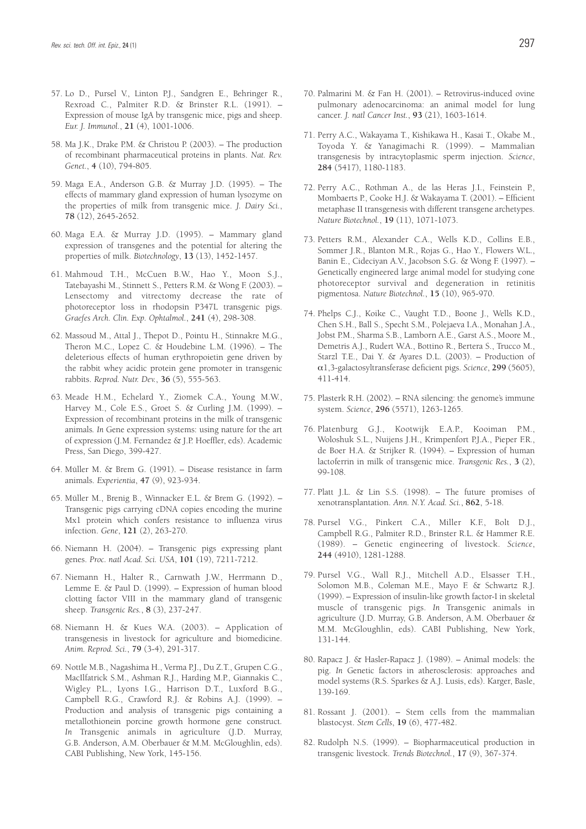- 57. Lo D., Pursel V., Linton P.J., Sandgren E., Behringer R., Rexroad C., Palmiter R.D. & Brinster R.L. (1991). – Expression of mouse IgA by transgenic mice, pigs and sheep. *Eur. J. Immunol.*, **21** (4), 1001-1006.
- 58. Ma J.K., Drake P.M. & Christou P. (2003). The production of recombinant pharmaceutical proteins in plants. *Nat. Rev. Genet.*, **4** (10), 794-805.
- 59. Maga E.A., Anderson G.B. & Murray J.D. (1995). The effects of mammary gland expression of human lysozyme on the properties of milk from transgenic mice. *J. Dairy Sci.*, **78** (12), 2645-2652.
- 60. Maga E.A. & Murray J.D. (1995). Mammary gland expression of transgenes and the potential for altering the properties of milk. *Biotechnology*, **13** (13), 1452-1457.
- 61. Mahmoud T.H., McCuen B.W., Hao Y., Moon S.J., Tatebayashi M., Stinnett S., Petters R.M. & Wong F. (2003). – Lensectomy and vitrectomy decrease the rate of photoreceptor loss in rhodopsin P347L transgenic pigs. *Graefes Arch. Clin. Exp. Ophtalmol.*, **241** (4), 298-308.
- 62. Massoud M., Attal J., Thepot D., Pointu H., Stinnakre M.G., Theron M.C., Lopez C. & Houdebine L.M. (1996). – The deleterious effects of human erythropoietin gene driven by the rabbit whey acidic protein gene promoter in transgenic rabbits. *Reprod. Nutr. Dev.*, **36** (5), 555-563.
- 63. Meade H.M., Echelard Y., Ziomek C.A., Young M.W., Harvey M., Cole E.S., Groet S. & Curling J.M. (1999). – Expression of recombinant proteins in the milk of transgenic animals*. In* Gene expression systems: using nature for the art of expression (J.M. Fernandez & J.P. Hoeffler, eds). Academic Press, San Diego, 399-427.
- 64. Müller M. & Brem G. (1991). Disease resistance in farm animals. *Experientia*, **47** (9), 923-934.
- 65. Müller M., Brenig B., Winnacker E.L. & Brem G. (1992). Transgenic pigs carrying cDNA copies encoding the murine Mx1 protein which confers resistance to influenza virus infection. *Gene*, **121** (2), 263-270.
- 66. Niemann H. (2004). Transgenic pigs expressing plant genes. *Proc. natl Acad. Sci. USA*, **101** (19), 7211-7212.
- 67. Niemann H., Halter R., Carnwath J.W., Herrmann D., Lemme E. & Paul D. (1999). – Expression of human blood clotting factor VIII in the mammary gland of transgenic sheep. *Transgenic Res.*, **8** (3), 237-247.
- 68. Niemann H. & Kues W.A. (2003). Application of transgenesis in livestock for agriculture and biomedicine. *Anim. Reprod. Sci.*, **79** (3-4), 291-317.
- 69. Nottle M.B., Nagashima H., Verma P.J., Du Z.T., Grupen C.G., MacIlfatrick S.M., Ashman R.J., Harding M.P., Giannakis C., Wigley P.L., Lyons I.G., Harrison D.T., Luxford B.G., Campbell R.G., Crawford R.J. & Robins A.J. (1999). – Production and analysis of transgenic pigs containing a metallothionein porcine growth hormone gene construct*. In* Transgenic animals in agriculture (J.D. Murray, G.B. Anderson, A.M. Oberbauer & M.M. McGloughlin, eds). CABI Publishing, New York, 145-156.
- 70. Palmarini M. & Fan H. (2001). Retrovirus-induced ovine pulmonary adenocarcinoma: an animal model for lung cancer. *J. natl Cancer Inst.*, **93** (21), 1603-1614.
- 71. Perry A.C., Wakayama T., Kishikawa H., Kasai T., Okabe M., Toyoda Y. & Yanagimachi R. (1999). – Mammalian transgenesis by intracytoplasmic sperm injection. *Science*, **284** (5417), 1180-1183.
- 72. Perry A.C., Rothman A., de las Heras J.I., Feinstein P., Mombaerts P., Cooke H.J. & Wakayama T. (2001). – Efficient metaphase II transgenesis with different transgene archetypes. *Nature Biotechnol.*, **19** (11), 1071-1073.
- 73. Petters R.M., Alexander C.A., Wells K.D., Collins E.B., Sommer J.R., Blanton M.R., Rojas G., Hao Y., Flowers W.L., Banin E., Cideciyan A.V., Jacobson S.G. & Wong F. (1997). – Genetically engineered large animal model for studying cone photoreceptor survival and degeneration in retinitis pigmentosa. *Nature Biotechnol.*, **15** (10), 965-970.
- 74. Phelps C.J., Koike C., Vaught T.D., Boone J., Wells K.D., Chen S.H., Ball S., Specht S.M., Polejaeva I.A., Monahan J.A., Jobst P.M., Sharma S.B., Lamborn A.E., Garst A.S., Moore M., Demetris A.J., Rudert W.A., Bottino R., Bertera S., Trucco M., Starzl T.E., Dai Y. & Ayares D.L. (2003). – Production of α1,3-galactosyltransferase deficient pigs. *Science*, **299** (5605), 411-414.
- 75. Plasterk R.H. (2002). RNA silencing: the genome's immune system. *Science*, **296** (5571), 1263-1265.
- 76. Platenburg G.J., Kootwijk E.A.P., Kooiman P.M., Woloshuk S.L., Nuijens J.H., Krimpenfort P.J.A., Pieper F.R., de Boer H.A. & Strijker R. (1994). – Expression of human lactoferrin in milk of transgenic mice. *Transgenic Res.*, **3** (2), 99-108.
- 77. Platt J.L. & Lin S.S. (1998). The future promises of xenotransplantation. *Ann. N.Y. Acad. Sci.*, **862**, 5-18.
- 78. Pursel V.G., Pinkert C.A., Miller K.F., Bolt D.J., Campbell R.G., Palmiter R.D., Brinster R.L. & Hammer R.E. (1989). – Genetic engineering of livestock. *Science*, **244** (4910), 1281-1288.
- 79. Pursel V.G., Wall R.J., Mitchell A.D., Elsasser T.H., Solomon M.B., Coleman M.E., Mayo F. & Schwartz R.J. (1999). – Expression of insulin-like growth factor-I in skeletal muscle of transgenic pigs. *In* Transgenic animals in agriculture (J.D. Murray, G.B. Anderson, A.M. Oberbauer & M.M. McGloughlin, eds). CABI Publishing, New York, 131-144.
- 80. Rapacz J. & Hasler-Rapacz J. (1989). Animal models: the pig. *In* Genetic factors in atherosclerosis: approaches and model systems (R.S. Sparkes & A.J. Lusis, eds). Karger, Basle, 139-169.
- 81. Rossant J. (2001). Stem cells from the mammalian blastocyst. *Stem Cells*, **19** (6), 477-482.
- 82. Rudolph N.S. (1999). Biopharmaceutical production in transgenic livestock. *Trends Biotechnol.*, **17** (9), 367-374.